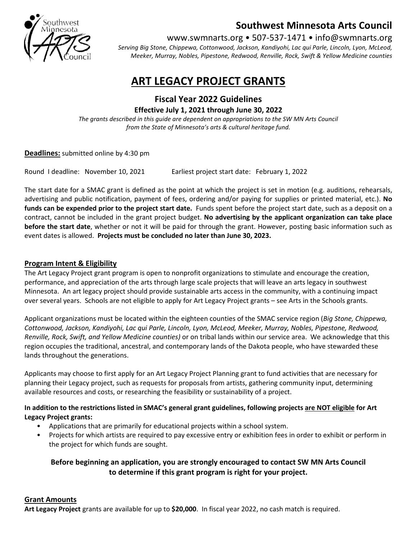

## Southwest Minnesota Arts Council

www.swmnarts.org • 507-537-1471 • info@swmnarts.org

Serving Big Stone, Chippewa, Cottonwood, Jackson, Kandiyohi, Lac qui Parle, Lincoln, Lyon, McLeod, Meeker, Murray, Nobles, Pipestone, Redwood, Renville, Rock, Swift & Yellow Medicine counties

# ART LEGACY PROJECT GRANTS

Fiscal Year 2022 Guidelines Effective July 1, 2021 through June 30, 2022

The grants described in this guide are dependent on appropriations to the SW MN Arts Council from the State of Minnesota's arts & cultural heritage fund.

Deadlines: submitted online by 4:30 pm

Round I deadline: November 10, 2021 Earliest project start date: February 1, 2022

The start date for a SMAC grant is defined as the point at which the project is set in motion (e.g. auditions, rehearsals, advertising and public notification, payment of fees, ordering and/or paying for supplies or printed material, etc.). No funds can be expended prior to the project start date. Funds spent before the project start date, such as a deposit on a contract, cannot be included in the grant project budget. No advertising by the applicant organization can take place before the start date, whether or not it will be paid for through the grant. However, posting basic information such as event dates is allowed. Projects must be concluded no later than June 30, 2023.

#### Program Intent & Eligibility

The Art Legacy Project grant program is open to nonprofit organizations to stimulate and encourage the creation, performance, and appreciation of the arts through large scale projects that will leave an arts legacy in southwest Minnesota. An art legacy project should provide sustainable arts access in the community, with a continuing impact over several years. Schools are not eligible to apply for Art Legacy Project grants – see Arts in the Schools grants.

Applicant organizations must be located within the eighteen counties of the SMAC service region (Big Stone, Chippewa, Cottonwood, Jackson, Kandiyohi, Lac qui Parle, Lincoln, Lyon, McLeod, Meeker, Murray, Nobles, Pipestone, Redwood, Renville, Rock, Swift, and Yellow Medicine counties) or on tribal lands within our service area. We acknowledge that this region occupies the traditional, ancestral, and contemporary lands of the Dakota people, who have stewarded these lands throughout the generations.

Applicants may choose to first apply for an Art Legacy Project Planning grant to fund activities that are necessary for planning their Legacy project, such as requests for proposals from artists, gathering community input, determining available resources and costs, or researching the feasibility or sustainability of a project.

#### In addition to the restrictions listed in SMAC's general grant guidelines, following projects are NOT eligible for Art Legacy Project grants:

- Applications that are primarily for educational projects within a school system.
- Projects for which artists are required to pay excessive entry or exhibition fees in order to exhibit or perform in the project for which funds are sought.

#### Before beginning an application, you are strongly encouraged to contact SW MN Arts Council to determine if this grant program is right for your project.

### Grant Amounts

Art Legacy Project grants are available for up to \$20,000. In fiscal year 2022, no cash match is required.